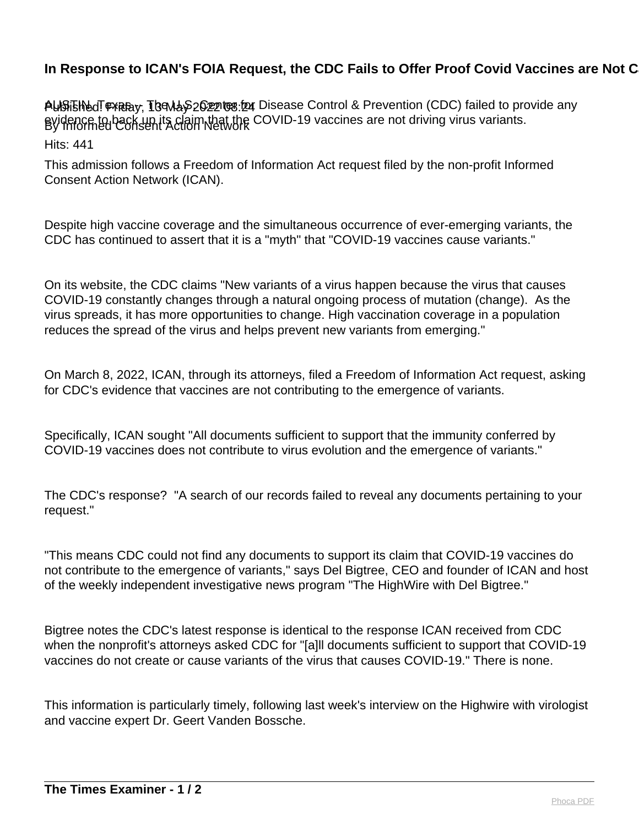## In Response to ICAN's FOIA Request, the CDC Fails to Offer Proof Covid Vaccines are Not C

Published: Friday, 13 May 2022 08:24 AUSTIN, Texas -- The U.S. Center for Disease Control & Prevention (CDC) failed to provide any By Informed Consent Action Network evidence to back up its claim that the COVID-19 vaccines are not driving virus variants.

Hits: 441

This admission follows a Freedom of Information Act request filed by the non-profit Informed Consent Action Network (ICAN).

Despite high vaccine coverage and the simultaneous occurrence of ever-emerging variants, the CDC has continued to assert that it is a "myth" that "COVID-19 vaccines cause variants."

On its website, the CDC claims "New variants of a virus happen because the virus that causes COVID-19 constantly changes through a natural ongoing process of mutation (change). As the virus spreads, it has more opportunities to change. High vaccination coverage in a population reduces the spread of the virus and helps prevent new variants from emerging."

On March 8, 2022, ICAN, through its attorneys, filed a Freedom of Information Act request, asking for CDC's evidence that vaccines are not contributing to the emergence of variants.

Specifically, ICAN sought "All documents sufficient to support that the immunity conferred by COVID-19 vaccines does not contribute to virus evolution and the emergence of variants."

The CDC's response? "A search of our records failed to reveal any documents pertaining to your request."

"This means CDC could not find any documents to support its claim that COVID-19 vaccines do not contribute to the emergence of variants," says Del Bigtree, CEO and founder of ICAN and host of the weekly independent investigative news program "The HighWire with Del Bigtree."

Bigtree notes the CDC's latest response is identical to the response ICAN received from CDC when the nonprofit's attorneys asked CDC for "[a]ll documents sufficient to support that COVID-19 vaccines do not create or cause variants of the virus that causes COVID-19." There is none.

This information is particularly timely, following last week's interview on the Highwire with virologist and vaccine expert Dr. Geert Vanden Bossche.